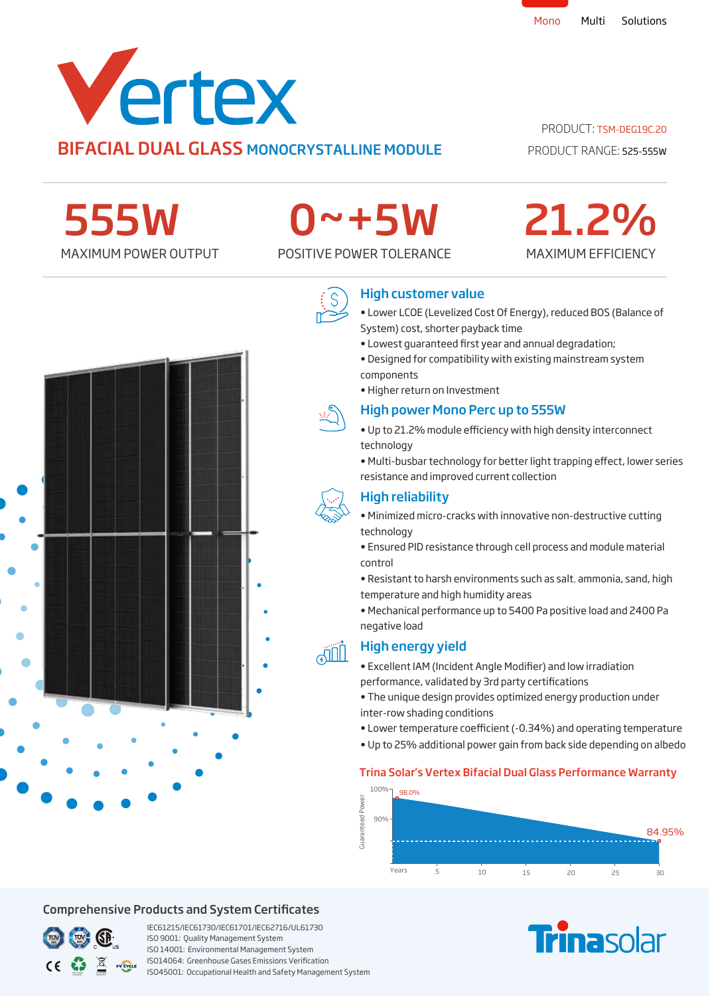

# PRODUCT: TSM-DEG19C.20

PRODUCT RANGE: 525-555W

MAXIMUM EFFICIENCY

21.2%

555W

# 0~+5W

MAXIMUM POWER OUTPUT POSITIVE POWER TOLERANCE



# High customer value

- Lower LCOE (Levelized Cost Of Energy), reduced BOS (Balance of System) cost, shorter payback time
- Lowest quaranteed first year and annual degradation;
- Designed for compatibility with existing mainstream system components
- Higher return on Investment

## High power Mono Perc up to 555W

- Up to 21.2% module efficiency with high density interconnect technology
- Multi-busbar technology for better light trapping effect, lower series resistance and improved current collection

# High reliability

- Minimized micro-cracks with innovative non-destructive cutting technology
- Ensured PID resistance through cell process and module material control
- Resistant to harsh environments such as salt, ammonia, sand, high temperature and high humidity areas
- Mechanical performance up to 5400 Pa positive load and 2400 Pa negative load

# High energy yield

- Excellent IAM (Incident Angle Modifier) and low irradiation performance, validated by 3rd party certifications
- The unique design provides optimized energy production under inter-row shading conditions
- Lower temperature coefficient (-0.34%) and operating temperature
- Up to 25% additional power gain from back side depending on albedo

## Trina Solar's Vertex Bifacial Dual Glass Performance Warranty



**Finasolar** 

# Comprehensive Products and System Certificates



IEC61215/IEC61730/IEC61701/IEC62716/UL61730 ISO 9001: Quality Management System ISO 14001: Environmental Management System ISO14064: Greenhouse Gases Emissions Verication ISO45001: Occupational Health and Safety Management System





**AIL**